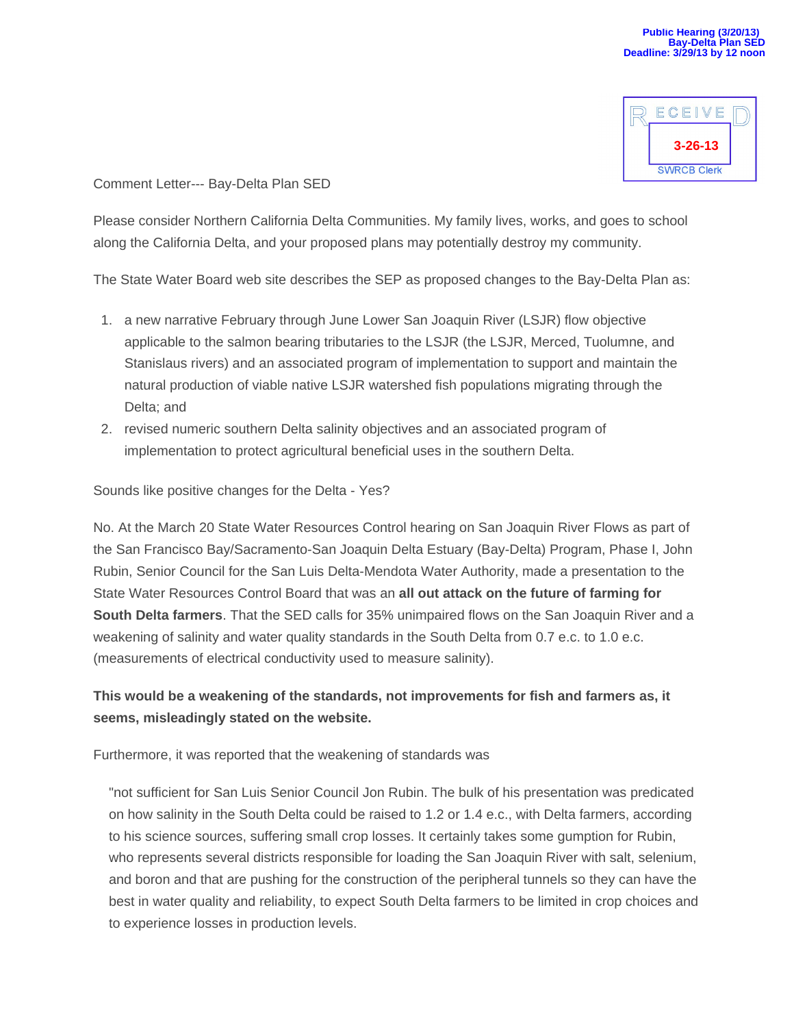

Comment Letter--- Bay-Delta Plan SED

Please consider Northern California Delta Communities. My family lives, works, and goes to school along the California Delta, and your proposed plans may potentially destroy my community.

The State Water Board web site describes the SEP as proposed changes to the Bay-Delta Plan as:

- 1. a new narrative February through June Lower San Joaquin River (LSJR) flow objective applicable to the salmon bearing tributaries to the LSJR (the LSJR, Merced, Tuolumne, and Stanislaus rivers) and an associated program of implementation to support and maintain the natural production of viable native LSJR watershed fish populations migrating through the Delta; and
- 2. revised numeric southern Delta salinity objectives and an associated program of implementation to protect agricultural beneficial uses in the southern Delta.

Sounds like positive changes for the Delta - Yes?

No. At the March 20 State Water Resources Control hearing on San Joaquin River Flows as part of the San Francisco Bay/Sacramento-San Joaquin Delta Estuary (Bay-Delta) Program, Phase I, John Rubin, Senior Council for the San Luis Delta-Mendota Water Authority, made a presentation to the State Water Resources Control Board that was an **all out attack on the future of farming for South Delta farmers**. That the SED calls for 35% unimpaired flows on the San Joaquin River and a weakening of salinity and water quality standards in the South Delta from 0.7 e.c. to 1.0 e.c. (measurements of electrical conductivity used to measure salinity).

**This would be a weakening of the standards, not improvements for fish and farmers as, it seems, misleadingly stated on the website.**

Furthermore, it was reported that the weakening of standards was

"not sufficient for San Luis Senior Council Jon Rubin. The bulk of his presentation was predicated on how salinity in the South Delta could be raised to 1.2 or 1.4 e.c., with Delta farmers, according to his science sources, suffering small crop losses. It certainly takes some gumption for Rubin, who represents several districts responsible for loading the San Joaquin River with salt, selenium, and boron and that are pushing for the construction of the peripheral tunnels so they can have the best in water quality and reliability, to expect South Delta farmers to be limited in crop choices and to experience losses in production levels.